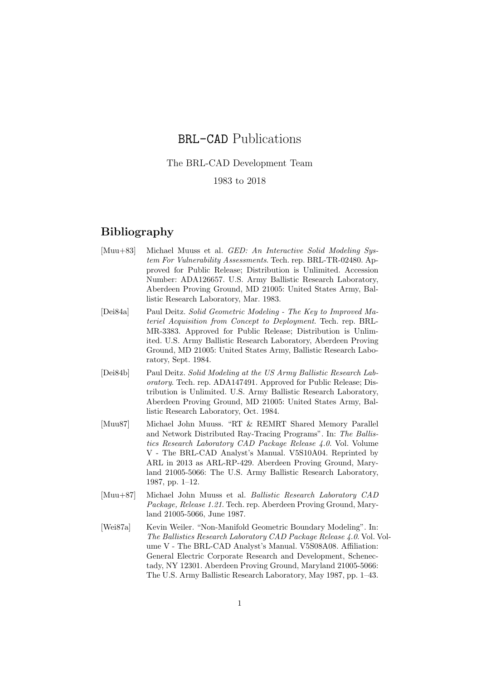## BRL-CAD Publications

## The BRL-CAD Development Team

## 1983 to 2018

## Bibliography

- [Muu+83] Michael Muuss et al. GED: An Interactive Solid Modeling System For Vulnerability Assessments. Tech. rep. BRL-TR-02480. Approved for Public Release; Distribution is Unlimited. Accession Number: ADA126657. U.S. Army Ballistic Research Laboratory, Aberdeen Proving Ground, MD 21005: United States Army, Ballistic Research Laboratory, Mar. 1983.
- [Dei84a] Paul Deitz. Solid Geometric Modeling The Key to Improved Materiel Acquisition from Concept to Deployment. Tech. rep. BRL-MR-3383. Approved for Public Release; Distribution is Unlimited. U.S. Army Ballistic Research Laboratory, Aberdeen Proving Ground, MD 21005: United States Army, Ballistic Research Laboratory, Sept. 1984.
- [Dei84b] Paul Deitz. Solid Modeling at the US Army Ballistic Research Laboratory. Tech. rep. ADA147491. Approved for Public Release; Distribution is Unlimited. U.S. Army Ballistic Research Laboratory, Aberdeen Proving Ground, MD 21005: United States Army, Ballistic Research Laboratory, Oct. 1984.
- [Muu87] Michael John Muuss. "RT & REMRT Shared Memory Parallel and Network Distributed Ray-Tracing Programs". In: The Ballistics Research Laboratory CAD Package Release 4.0. Vol. Volume V - The BRL-CAD Analyst's Manual. V5S10A04. Reprinted by ARL in 2013 as ARL-RP-429. Aberdeen Proving Ground, Maryland 21005-5066: The U.S. Army Ballistic Research Laboratory, 1987, pp. 1–12.
- [Muu+87] Michael John Muuss et al. Ballistic Research Laboratory CAD Package, Release 1.21. Tech. rep. Aberdeen Proving Ground, Maryland 21005-5066, June 1987.
- [Wei87a] Kevin Weiler. "Non-Manifold Geometric Boundary Modeling". In: The Ballistics Research Laboratory CAD Package Release 4.0. Vol. Volume V - The BRL-CAD Analyst's Manual. V5S08A08. Affiliation: General Electric Corporate Research and Development, Schenectady, NY 12301. Aberdeen Proving Ground, Maryland 21005-5066: The U.S. Army Ballistic Research Laboratory, May 1987, pp. 1–43.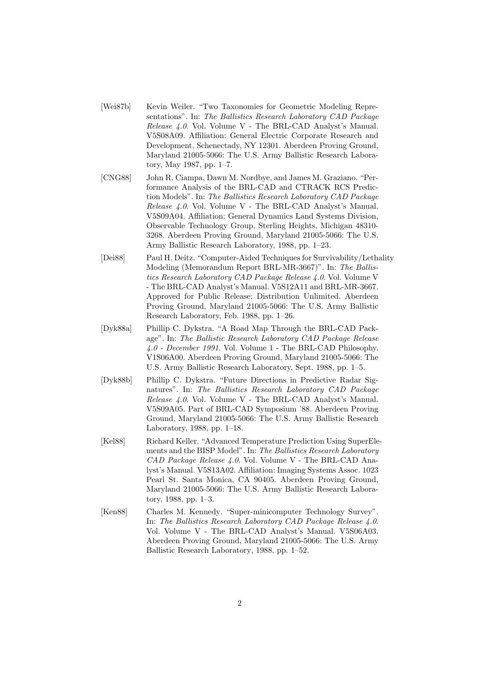- [Wei87b] Kevin Weiler. "Two Taxonomies for Geometric Modeling Representations". In: The Ballistics Research Laboratory CAD Package Release 4.0. Vol. Volume V - The BRL-CAD Analyst's Manual. V5S08A09. Affiliation: General Electric Corporate Research and Development, Schenectady, NY 12301. Aberdeen Proving Ground, Maryland 21005-5066: The U.S. Army Ballistic Research Laboratory, May 1987, pp. 1–7.
- [CNG88] John R. Ciampa, Dawn M. Nordbye, and James M. Graziano. "Performance Analysis of the BRL-CAD and CTRACK RCS Prediction Models". In: The Ballistics Research Laboratory CAD Package Release 4.0. Vol. Volume V - The BRL-CAD Analyst's Manual. V5S09A04. Affiliation: General Dynamics Land Systems Division, Observable Technology Group, Sterling Heights, Michigan 48310- 3268. Aberdeen Proving Ground, Maryland 21005-5066: The U.S. Army Ballistic Research Laboratory, 1988, pp. 1–23.
- [Dei88] Paul H. Deitz. "Computer-Aided Techniques for Survivability/Lethality Modeling (Memorandum Report BRL-MR-3667)". In: The Ballistics Research Laboratory CAD Package Release 4.0. Vol. Volume V - The BRL-CAD Analyst's Manual. V5S12A11 and BRL-MR-3667. Approved for Public Release; Distribution Unlimited. Aberdeen Proving Ground, Maryland 21005-5066: The U.S. Army Ballistic Research Laboratory, Feb. 1988, pp. 1–26.
- [Dyk88a] Phillip C. Dykstra. "A Road Map Through the BRL-CAD Package". In: The Ballistic Research Laboratory CAD Package Release 4.0 - December 1991. Vol. Volume 1 - The BRL-CAD Philosophy. V1S06A00. Aberdeen Proving Ground, Maryland 21005-5066: The U.S. Army Ballistic Research Laboratory, Sept. 1988, pp. 1–5.
- [Dyk88b] Phillip C. Dykstra. "Future Directions in Predictive Radar Signatures". In: The Ballistics Research Laboratory CAD Package Release 4.0. Vol. Volume V - The BRL-CAD Analyst's Manual. V5S09A05. Part of BRL-CAD Symposium '88. Aberdeen Proving Ground, Maryland 21005-5066: The U.S. Army Ballistic Research Laboratory, 1988, pp. 1–18.
- [Kel88] Richard Keller. "Advanced Temperature Prediction Using SuperElements and the BISP Model". In: The Ballistics Research Laboratory CAD Package Release 4.0. Vol. Volume V - The BRL-CAD Analyst's Manual. V5S13A02. Affiliation: Imaging Systems Assoc. 1023 Pearl St. Santa Monica, CA 90405. Aberdeen Proving Ground, Maryland 21005-5066: The U.S. Army Ballistic Research Laboratory, 1988, pp. 1–3.
- [Ken88] Charles M. Kennedy. "Super-minicomputer Technology Survey". In: The Ballistics Research Laboratory CAD Package Release 4.0. Vol. Volume V - The BRL-CAD Analyst's Manual. V5S06A03. Aberdeen Proving Ground, Maryland 21005-5066: The U.S. Army Ballistic Research Laboratory, 1988, pp. 1–52.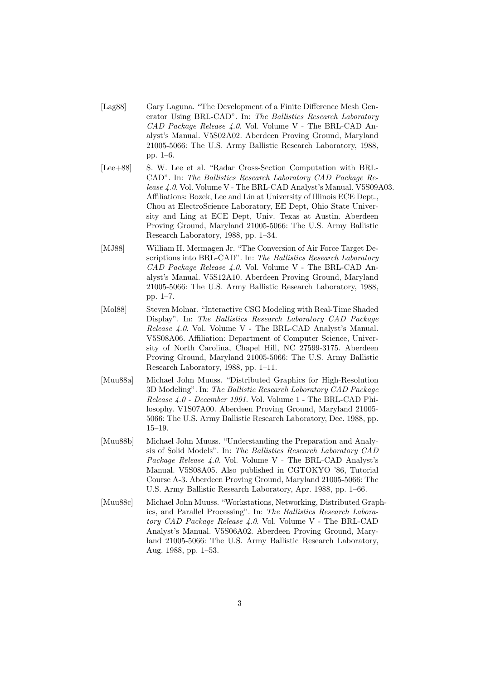- [Lag88] Gary Laguna. "The Development of a Finite Difference Mesh Generator Using BRL-CAD". In: The Ballistics Research Laboratory CAD Package Release 4.0. Vol. Volume V - The BRL-CAD Analyst's Manual. V5S02A02. Aberdeen Proving Ground, Maryland 21005-5066: The U.S. Army Ballistic Research Laboratory, 1988, pp. 1–6.
- [Lee+88] S. W. Lee et al. "Radar Cross-Section Computation with BRL-CAD". In: The Ballistics Research Laboratory CAD Package Release 4.0. Vol. Volume V - The BRL-CAD Analyst's Manual. V5S09A03. Affiliations: Bozek, Lee and Lin at University of Illinois ECE Dept., Chou at ElectroScience Laboratory, EE Dept, Ohio State University and Ling at ECE Dept, Univ. Texas at Austin. Aberdeen Proving Ground, Maryland 21005-5066: The U.S. Army Ballistic Research Laboratory, 1988, pp. 1–34.
- [MJ88] William H. Mermagen Jr. "The Conversion of Air Force Target Descriptions into BRL-CAD". In: The Ballistics Research Laboratory CAD Package Release 4.0. Vol. Volume V - The BRL-CAD Analyst's Manual. V5S12A10. Aberdeen Proving Ground, Maryland 21005-5066: The U.S. Army Ballistic Research Laboratory, 1988, pp. 1–7.
- [Mol88] Steven Molnar. "Interactive CSG Modeling with Real-Time Shaded Display". In: The Ballistics Research Laboratory CAD Package Release 4.0. Vol. Volume V - The BRL-CAD Analyst's Manual. V5S08A06. Affiliation: Department of Computer Science, University of North Carolina, Chapel Hill, NC 27599-3175. Aberdeen Proving Ground, Maryland 21005-5066: The U.S. Army Ballistic Research Laboratory, 1988, pp. 1–11.
- [Muu88a] Michael John Muuss. "Distributed Graphics for High-Resolution 3D Modeling". In: The Ballistic Research Laboratory CAD Package Release 4.0 - December 1991. Vol. Volume 1 - The BRL-CAD Philosophy. V1S07A00. Aberdeen Proving Ground, Maryland 21005- 5066: The U.S. Army Ballistic Research Laboratory, Dec. 1988, pp. 15–19.
- [Muu88b] Michael John Muuss. "Understanding the Preparation and Analysis of Solid Models". In: The Ballistics Research Laboratory CAD Package Release 4.0. Vol. Volume V - The BRL-CAD Analyst's Manual. V5S08A05. Also published in CGTOKYO '86, Tutorial Course A-3. Aberdeen Proving Ground, Maryland 21005-5066: The U.S. Army Ballistic Research Laboratory, Apr. 1988, pp. 1–66.
- [Muu88c] Michael John Muuss. "Workstations, Networking, Distributed Graphics, and Parallel Processing". In: The Ballistics Research Laboratory CAD Package Release 4.0. Vol. Volume V - The BRL-CAD Analyst's Manual. V5S06A02. Aberdeen Proving Ground, Maryland 21005-5066: The U.S. Army Ballistic Research Laboratory, Aug. 1988, pp. 1–53.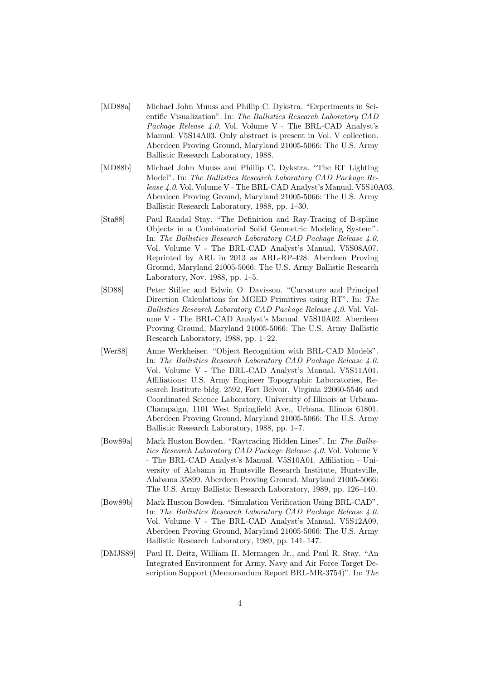- [MD88a] Michael John Muuss and Phillip C. Dykstra. "Experiments in Scientific Visualization". In: The Ballistics Research Laboratory CAD Package Release 4.0. Vol. Volume V - The BRL-CAD Analyst's Manual. V5S14A03. Only abstract is present in Vol. V collection. Aberdeen Proving Ground, Maryland 21005-5066: The U.S. Army Ballistic Research Laboratory, 1988.
- [MD88b] Michael John Muuss and Phillip C. Dykstra. "The RT Lighting Model". In: The Ballistics Research Laboratory CAD Package Release 4.0. Vol. Volume V - The BRL-CAD Analyst's Manual. V5S10A03. Aberdeen Proving Ground, Maryland 21005-5066: The U.S. Army Ballistic Research Laboratory, 1988, pp. 1–30.
- [Sta88] Paul Randal Stay. "The Definition and Ray-Tracing of B-spline Objects in a Combinatorial Solid Geometric Modeling System". In: The Ballistics Research Laboratory CAD Package Release 4.0. Vol. Volume V - The BRL-CAD Analyst's Manual. V5S08A07. Reprinted by ARL in 2013 as ARL-RP-428. Aberdeen Proving Ground, Maryland 21005-5066: The U.S. Army Ballistic Research Laboratory, Nov. 1988, pp. 1–5.
- [SD88] Peter Stiller and Edwin O. Davisson. "Curvature and Principal Direction Calculations for MGED Primitives using RT". In: The Ballistics Research Laboratory CAD Package Release 4.0. Vol. Volume V - The BRL-CAD Analyst's Manual. V5S10A02. Aberdeen Proving Ground, Maryland 21005-5066: The U.S. Army Ballistic Research Laboratory, 1988, pp. 1–22.
- [Wer88] Anne Werkheiser. "Object Recognition with BRL-CAD Models". In: The Ballistics Research Laboratory CAD Package Release 4.0. Vol. Volume V - The BRL-CAD Analyst's Manual. V5S11A01. Affiliations: U.S. Army Engineer Topographic Laboratories, Research Institute bldg. 2592, Fort Belvoir, Virginia 22060-5546 and Coordinated Science Laboratory, University of Illinois at Urbana-Champaign, 1101 West Springfield Ave., Urbana, Illinois 61801. Aberdeen Proving Ground, Maryland 21005-5066: The U.S. Army Ballistic Research Laboratory, 1988, pp. 1–7.
- [Bow89a] Mark Huston Bowden. "Raytracing Hidden Lines". In: The Ballistics Research Laboratory CAD Package Release 4.0. Vol. Volume V - The BRL-CAD Analyst's Manual. V5S10A01. Affiliation - University of Alabama in Huntsville Research Institute, Huntsville, Alabama 35899. Aberdeen Proving Ground, Maryland 21005-5066: The U.S. Army Ballistic Research Laboratory, 1989, pp. 126–140.
- [Bow89b] Mark Huston Bowden. "Simulation Verification Using BRL-CAD". In: The Ballistics Research Laboratory CAD Package Release 4.0. Vol. Volume V - The BRL-CAD Analyst's Manual. V5S12A09. Aberdeen Proving Ground, Maryland 21005-5066: The U.S. Army Ballistic Research Laboratory, 1989, pp. 141–147.
- [DMJS89] Paul H. Deitz, William H. Mermagen Jr., and Paul R. Stay. "An Integrated Environment for Army, Navy and Air Force Target Description Support (Memorandum Report BRL-MR-3754)". In: The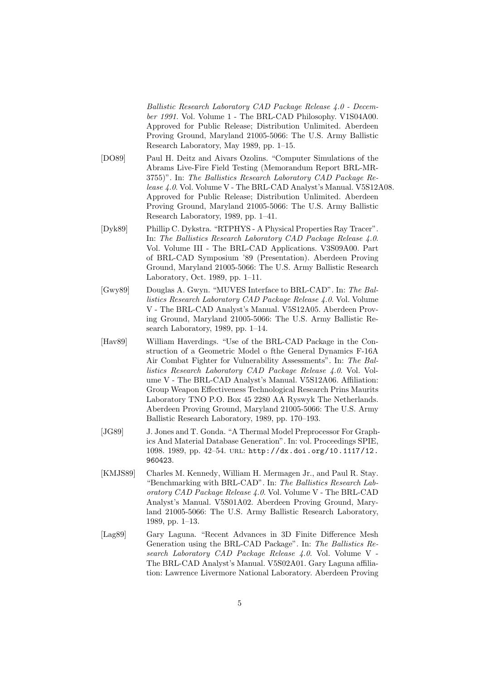Ballistic Research Laboratory CAD Package Release 4.0 - December 1991. Vol. Volume 1 - The BRL-CAD Philosophy. V1S04A00. Approved for Public Release; Distribution Unlimited. Aberdeen Proving Ground, Maryland 21005-5066: The U.S. Army Ballistic Research Laboratory, May 1989, pp. 1–15.

- [DO89] Paul H. Deitz and Aivars Ozolins. "Computer Simulations of the Abrams Live-Fire Field Testing (Memorandum Report BRL-MR-3755)". In: The Ballistics Research Laboratory CAD Package Release 4.0. Vol. Volume V - The BRL-CAD Analyst's Manual. V5S12A08. Approved for Public Release; Distribution Unlimited. Aberdeen Proving Ground, Maryland 21005-5066: The U.S. Army Ballistic Research Laboratory, 1989, pp. 1–41.
- [Dyk89] Phillip C. Dykstra. "RTPHYS A Physical Properties Ray Tracer". In: The Ballistics Research Laboratory CAD Package Release 4.0. Vol. Volume III - The BRL-CAD Applications. V3S09A00. Part of BRL-CAD Symposium '89 (Presentation). Aberdeen Proving Ground, Maryland 21005-5066: The U.S. Army Ballistic Research Laboratory, Oct. 1989, pp. 1–11.
- [Gwy89] Douglas A. Gwyn. "MUVES Interface to BRL-CAD". In: The Ballistics Research Laboratory CAD Package Release 4.0. Vol. Volume V - The BRL-CAD Analyst's Manual. V5S12A05. Aberdeen Proving Ground, Maryland 21005-5066: The U.S. Army Ballistic Research Laboratory, 1989, pp. 1–14.
- [Hav89] William Haverdings. "Use of the BRL-CAD Package in the Construction of a Geometric Model o fthe General Dynamics F-16A Air Combat Fighter for Vulnerability Assessments". In: The Ballistics Research Laboratory CAD Package Release 4.0. Vol. Volume V - The BRL-CAD Analyst's Manual. V5S12A06. Affiliation: Group Weapon Effectiveness Technological Research Prins Maurits Laboratory TNO P.O. Box 45 2280 AA Ryswyk The Netherlands. Aberdeen Proving Ground, Maryland 21005-5066: The U.S. Army Ballistic Research Laboratory, 1989, pp. 170–193.
- [JG89] J. Jones and T. Gonda. "A Thermal Model Preprocessor For Graphics And Material Database Generation". In: vol. Proceedings SPIE, 1098. 1989, pp. 42–54. url: http://dx.doi.org/10.1117/12. 960423.
- [KMJS89] Charles M. Kennedy, William H. Mermagen Jr., and Paul R. Stay. "Benchmarking with BRL-CAD". In: The Ballistics Research Laboratory CAD Package Release 4.0. Vol. Volume V - The BRL-CAD Analyst's Manual. V5S01A02. Aberdeen Proving Ground, Maryland 21005-5066: The U.S. Army Ballistic Research Laboratory, 1989, pp. 1–13.
- [Lag89] Gary Laguna. "Recent Advances in 3D Finite Difference Mesh Generation using the BRL-CAD Package". In: The Ballistics Research Laboratory CAD Package Release 4.0. Vol. Volume V - The BRL-CAD Analyst's Manual. V5S02A01. Gary Laguna affiliation: Lawrence Livermore National Laboratory. Aberdeen Proving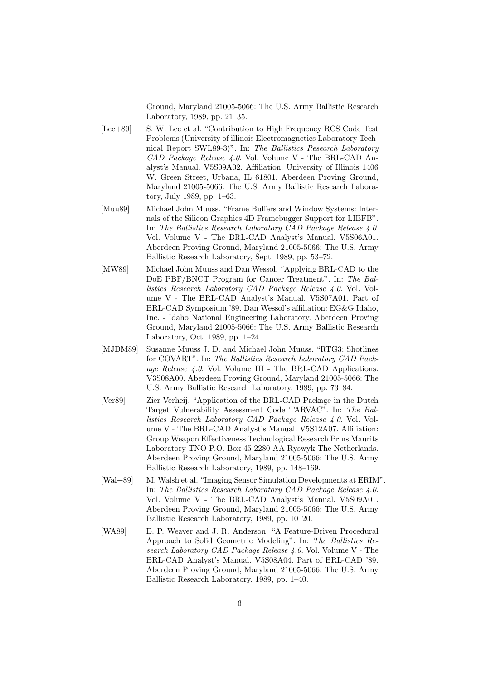Ground, Maryland 21005-5066: The U.S. Army Ballistic Research Laboratory, 1989, pp. 21–35.

- [Lee+89] S. W. Lee et al. "Contribution to High Frequency RCS Code Test Problems (University of illinois Electromagnetics Laboratory Technical Report SWL89-3)". In: The Ballistics Research Laboratory CAD Package Release 4.0. Vol. Volume V - The BRL-CAD Analyst's Manual. V5S09A02. Affiliation: University of Illinois 1406 W. Green Street, Urbana, IL 61801. Aberdeen Proving Ground, Maryland 21005-5066: The U.S. Army Ballistic Research Laboratory, July 1989, pp. 1–63.
- [Muu89] Michael John Muuss. "Frame Buffers and Window Systems: Internals of the Silicon Graphics 4D Framebugger Support for LIBFB". In: The Ballistics Research Laboratory CAD Package Release 4.0. Vol. Volume V - The BRL-CAD Analyst's Manual. V5S06A01. Aberdeen Proving Ground, Maryland 21005-5066: The U.S. Army Ballistic Research Laboratory, Sept. 1989, pp. 53–72.
- [MW89] Michael John Muuss and Dan Wessol. "Applying BRL-CAD to the DoE PBF/BNCT Program for Cancer Treatment". In: The Ballistics Research Laboratory CAD Package Release 4.0. Vol. Volume V - The BRL-CAD Analyst's Manual. V5S07A01. Part of BRL-CAD Symposium '89. Dan Wessol's affiliation: EG&G Idaho, Inc. - Idaho National Engineering Laboratory. Aberdeen Proving Ground, Maryland 21005-5066: The U.S. Army Ballistic Research Laboratory, Oct. 1989, pp. 1–24.
- [MJDM89] Susanne Muuss J. D. and Michael John Muuss. "RTG3: Shotlines for COVART". In: The Ballistics Research Laboratory CAD Package Release 4.0. Vol. Volume III - The BRL-CAD Applications. V3S08A00. Aberdeen Proving Ground, Maryland 21005-5066: The U.S. Army Ballistic Research Laboratory, 1989, pp. 73–84.
- [Ver89] Zier Verheij. "Application of the BRL-CAD Package in the Dutch Target Vulnerability Assessment Code TARVAC". In: The Ballistics Research Laboratory CAD Package Release 4.0. Vol. Volume V - The BRL-CAD Analyst's Manual. V5S12A07. Affiliation: Group Weapon Effectiveness Technological Research Prins Maurits Laboratory TNO P.O. Box 45 2280 AA Ryswyk The Netherlands. Aberdeen Proving Ground, Maryland 21005-5066: The U.S. Army Ballistic Research Laboratory, 1989, pp. 148–169.
- [Wal+89] M. Walsh et al. "Imaging Sensor Simulation Developments at ERIM". In: The Ballistics Research Laboratory CAD Package Release 4.0. Vol. Volume V - The BRL-CAD Analyst's Manual. V5S09A01. Aberdeen Proving Ground, Maryland 21005-5066: The U.S. Army Ballistic Research Laboratory, 1989, pp. 10–20.
- [WA89] E. P. Weaver and J. R. Anderson. "A Feature-Driven Procedural Approach to Solid Geometric Modeling". In: The Ballistics Research Laboratory CAD Package Release 4.0. Vol. Volume V - The BRL-CAD Analyst's Manual. V5S08A04. Part of BRL-CAD '89. Aberdeen Proving Ground, Maryland 21005-5066: The U.S. Army Ballistic Research Laboratory, 1989, pp. 1–40.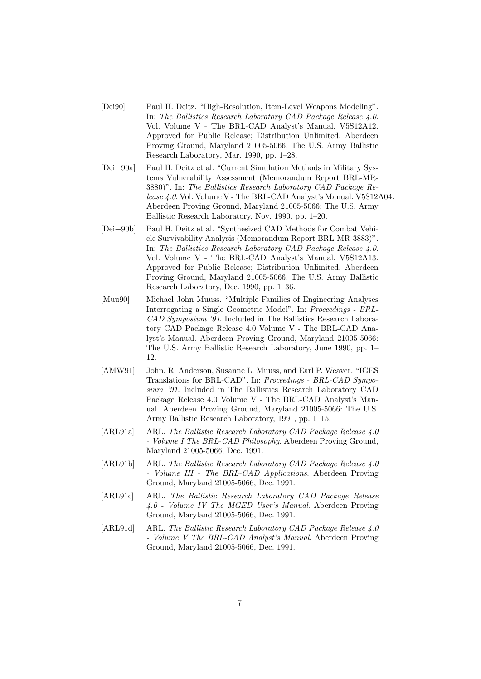- [Dei90] Paul H. Deitz. "High-Resolution, Item-Level Weapons Modeling". In: The Ballistics Research Laboratory CAD Package Release 4.0. Vol. Volume V - The BRL-CAD Analyst's Manual. V5S12A12. Approved for Public Release; Distribution Unlimited. Aberdeen Proving Ground, Maryland 21005-5066: The U.S. Army Ballistic Research Laboratory, Mar. 1990, pp. 1–28.
- [Dei+90a] Paul H. Deitz et al. "Current Simulation Methods in Military Systems Vulnerability Assessment (Memorandum Report BRL-MR-3880)". In: The Ballistics Research Laboratory CAD Package Release 4.0. Vol. Volume V - The BRL-CAD Analyst's Manual. V5S12A04. Aberdeen Proving Ground, Maryland 21005-5066: The U.S. Army Ballistic Research Laboratory, Nov. 1990, pp. 1–20.
- [Dei+90b] Paul H. Deitz et al. "Synthesized CAD Methods for Combat Vehicle Survivability Analysis (Memorandum Report BRL-MR-3883)". In: The Ballistics Research Laboratory CAD Package Release 4.0. Vol. Volume V - The BRL-CAD Analyst's Manual. V5S12A13. Approved for Public Release; Distribution Unlimited. Aberdeen Proving Ground, Maryland 21005-5066: The U.S. Army Ballistic Research Laboratory, Dec. 1990, pp. 1–36.
- [Muu90] Michael John Muuss. "Multiple Families of Engineering Analyses Interrogating a Single Geometric Model". In: Proceedings - BRL-CAD Symposium '91. Included in The Ballistics Research Laboratory CAD Package Release 4.0 Volume V - The BRL-CAD Analyst's Manual. Aberdeen Proving Ground, Maryland 21005-5066: The U.S. Army Ballistic Research Laboratory, June 1990, pp. 1– 12.
- [AMW91] John. R. Anderson, Susanne L. Muuss, and Earl P. Weaver. "IGES Translations for BRL-CAD". In: Proceedings - BRL-CAD Symposium '91. Included in The Ballistics Research Laboratory CAD Package Release 4.0 Volume V - The BRL-CAD Analyst's Manual. Aberdeen Proving Ground, Maryland 21005-5066: The U.S. Army Ballistic Research Laboratory, 1991, pp. 1–15.
- [ARL91a] ARL. The Ballistic Research Laboratory CAD Package Release 4.0 - Volume I The BRL-CAD Philosophy. Aberdeen Proving Ground, Maryland 21005-5066, Dec. 1991.
- [ARL91b] ARL. The Ballistic Research Laboratory CAD Package Release 4.0 - Volume III - The BRL-CAD Applications. Aberdeen Proving Ground, Maryland 21005-5066, Dec. 1991.
- [ARL91c] ARL. The Ballistic Research Laboratory CAD Package Release 4.0 - Volume IV The MGED User's Manual. Aberdeen Proving Ground, Maryland 21005-5066, Dec. 1991.
- [ARL91d] ARL. The Ballistic Research Laboratory CAD Package Release 4.0] - Volume V The BRL-CAD Analyst's Manual. Aberdeen Proving Ground, Maryland 21005-5066, Dec. 1991.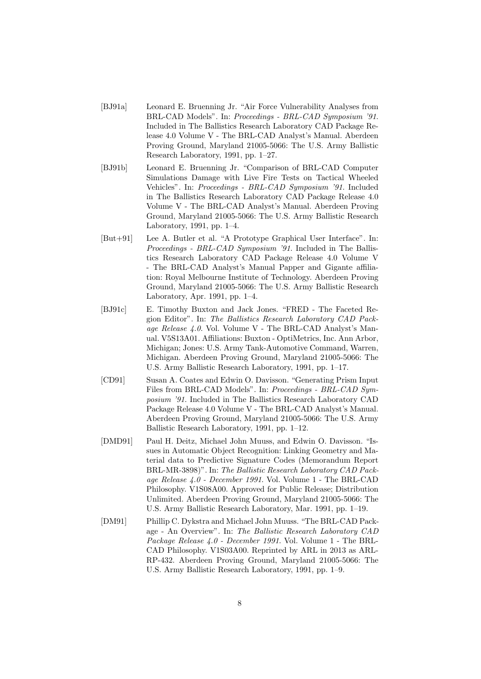- [BJ91a] Leonard E. Bruenning Jr. "Air Force Vulnerability Analyses from BRL-CAD Models". In: Proceedings - BRL-CAD Symposium '91. Included in The Ballistics Research Laboratory CAD Package Release 4.0 Volume V - The BRL-CAD Analyst's Manual. Aberdeen Proving Ground, Maryland 21005-5066: The U.S. Army Ballistic Research Laboratory, 1991, pp. 1–27.
- [BJ91b] Leonard E. Bruenning Jr. "Comparison of BRL-CAD Computer Simulations Damage with Live Fire Tests on Tactical Wheeled Vehicles". In: Proceedings - BRL-CAD Symposium '91. Included in The Ballistics Research Laboratory CAD Package Release 4.0 Volume V - The BRL-CAD Analyst's Manual. Aberdeen Proving Ground, Maryland 21005-5066: The U.S. Army Ballistic Research Laboratory, 1991, pp. 1–4.
- [But+91] Lee A. Butler et al. "A Prototype Graphical User Interface". In: Proceedings - BRL-CAD Symposium '91. Included in The Ballistics Research Laboratory CAD Package Release 4.0 Volume V - The BRL-CAD Analyst's Manual Papper and Gigante affiliation: Royal Melbourne Institute of Technology. Aberdeen Proving Ground, Maryland 21005-5066: The U.S. Army Ballistic Research Laboratory, Apr. 1991, pp. 1–4.
- [BJ91c] E. Timothy Buxton and Jack Jones. "FRED The Faceted Region Editor". In: The Ballistics Research Laboratory CAD Package Release 4.0. Vol. Volume V - The BRL-CAD Analyst's Manual. V5S13A01. Affiliations: Buxton - OptiMetrics, Inc. Ann Arbor, Michigan; Jones: U.S. Army Tank-Automotive Command, Warren, Michigan. Aberdeen Proving Ground, Maryland 21005-5066: The U.S. Army Ballistic Research Laboratory, 1991, pp. 1–17.
- [CD91] Susan A. Coates and Edwin O. Davisson. "Generating Prism Input Files from BRL-CAD Models". In: Proceedings - BRL-CAD Symposium '91. Included in The Ballistics Research Laboratory CAD Package Release 4.0 Volume V - The BRL-CAD Analyst's Manual. Aberdeen Proving Ground, Maryland 21005-5066: The U.S. Army Ballistic Research Laboratory, 1991, pp. 1–12.
- [DMD91] Paul H. Deitz, Michael John Muuss, and Edwin O. Davisson. "Issues in Automatic Object Recognition: Linking Geometry and Material data to Predictive Signature Codes (Memorandum Report BRL-MR-3898)". In: The Ballistic Research Laboratory CAD Package Release 4.0 - December 1991. Vol. Volume 1 - The BRL-CAD Philosophy. V1S08A00. Approved for Public Release; Distribution Unlimited. Aberdeen Proving Ground, Maryland 21005-5066: The U.S. Army Ballistic Research Laboratory, Mar. 1991, pp. 1–19.
- [DM91] Phillip C. Dykstra and Michael John Muuss. "The BRL-CAD Package - An Overview". In: The Ballistic Research Laboratory CAD Package Release 4.0 - December 1991. Vol. Volume 1 - The BRL-CAD Philosophy. V1S03A00. Reprinted by ARL in 2013 as ARL-RP-432. Aberdeen Proving Ground, Maryland 21005-5066: The U.S. Army Ballistic Research Laboratory, 1991, pp. 1–9.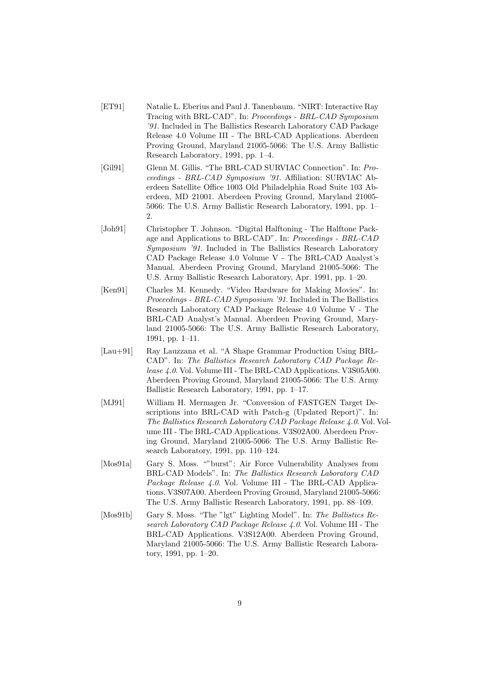- [ET91] Natalie L. Eberius and Paul J. Tanenbaum. "NIRT: Interactive Ray Tracing with BRL-CAD". In: Proceedings - BRL-CAD Symposium '91. Included in The Ballistics Research Laboratory CAD Package Release 4.0 Volume III - The BRL-CAD Applications. Aberdeen Proving Ground, Maryland 21005-5066: The U.S. Army Ballistic Research Laboratory, 1991, pp. 1–4.
- [Gil91] Glenn M. Gillis. "The BRL-CAD SURVIAC Connection". In: Proceedings - BRL-CAD Symposium '91. Affiliation: SURVIAC Aberdeen Satellite Office 1003 Old Philadelphia Road Suite 103 Aberdeen, MD 21001. Aberdeen Proving Ground, Maryland 21005- 5066: The U.S. Army Ballistic Research Laboratory, 1991, pp. 1– 2.
- [Joh91] Christopher T. Johnson. "Digital Halftoning The Halftone Package and Applications to BRL-CAD". In: Proceedings - BRL-CAD Symposium '91. Included in The Ballistics Research Laboratory CAD Package Release 4.0 Volume V - The BRL-CAD Analyst's Manual. Aberdeen Proving Ground, Maryland 21005-5066: The U.S. Army Ballistic Research Laboratory, Apr. 1991, pp. 1–20.
- [Ken91] Charles M. Kennedy. "Video Hardware for Making Movies". In: Proceedings - BRL-CAD Symposium '91. Included in The Ballistics Research Laboratory CAD Package Release 4.0 Volume V - The BRL-CAD Analyst's Manual. Aberdeen Proving Ground, Maryland 21005-5066: The U.S. Army Ballistic Research Laboratory, 1991, pp. 1–11.
- [Lau+91] Ray Lauzzana et al. "A Shape Grammar Production Using BRL-CAD". In: The Ballistics Research Laboratory CAD Package Release 4.0. Vol. Volume III - The BRL-CAD Applications. V3S05A00. Aberdeen Proving Ground, Maryland 21005-5066: The U.S. Army Ballistic Research Laboratory, 1991, pp. 1–17.
- [MJ91] William H. Mermagen Jr. "Conversion of FASTGEN Target Descriptions into BRL-CAD with Patch-g (Updated Report)". In: The Ballistics Research Laboratory CAD Package Release 4.0. Vol. Volume III - The BRL-CAD Applications. V3S02A00. Aberdeen Proving Ground, Maryland 21005-5066: The U.S. Army Ballistic Research Laboratory, 1991, pp. 110–124.
- [Mos91a] Gary S. Moss. ""burst"; Air Force Vulnerability Analyses from BRL-CAD Models". In: The Ballistics Research Laboratory CAD Package Release 4.0. Vol. Volume III - The BRL-CAD Applications. V3S07A00. Aberdeen Proving Ground, Maryland 21005-5066: The U.S. Army Ballistic Research Laboratory, 1991, pp. 88–109.
- [Mos91b] Gary S. Moss. "The "lgt" Lighting Model". In: The Ballistics Research Laboratory CAD Package Release 4.0. Vol. Volume III - The BRL-CAD Applications. V3S12A00. Aberdeen Proving Ground, Maryland 21005-5066: The U.S. Army Ballistic Research Laboratory, 1991, pp. 1–20.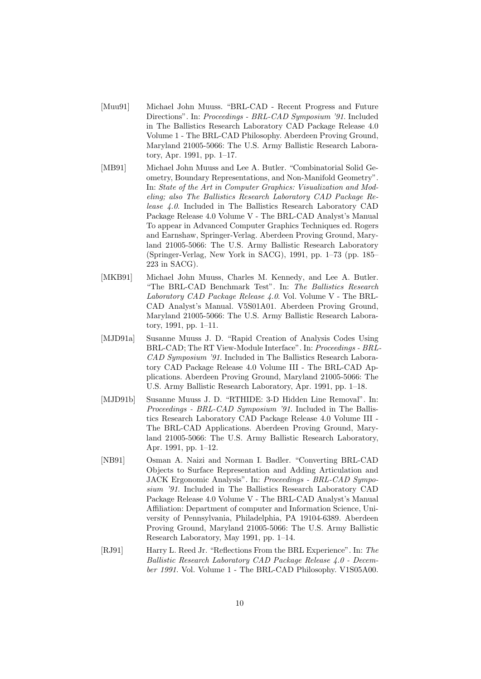- [Muu91] Michael John Muuss. "BRL-CAD Recent Progress and Future Directions". In: *Proceedings - BRL-CAD Symposium '91*. Included in The Ballistics Research Laboratory CAD Package Release 4.0 Volume 1 - The BRL-CAD Philosophy. Aberdeen Proving Ground, Maryland 21005-5066: The U.S. Army Ballistic Research Laboratory, Apr. 1991, pp. 1–17.
- [MB91] Michael John Muuss and Lee A. Butler. "Combinatorial Solid Geometry, Boundary Representations, and Non-Manifold Geometry". In: State of the Art in Computer Graphics: Visualization and Modeling; also The Ballistics Research Laboratory CAD Package Release 4.0. Included in The Ballistics Research Laboratory CAD Package Release 4.0 Volume V - The BRL-CAD Analyst's Manual To appear in Advanced Computer Graphics Techniques ed. Rogers and Earnshaw, Springer-Verlag. Aberdeen Proving Ground, Maryland 21005-5066: The U.S. Army Ballistic Research Laboratory (Springer-Verlag, New York in SACG), 1991, pp. 1–73 (pp. 185– 223 in SACG).
- [MKB91] Michael John Muuss, Charles M. Kennedy, and Lee A. Butler. "The BRL-CAD Benchmark Test". In: The Ballistics Research Laboratory CAD Package Release 4.0. Vol. Volume V - The BRL-CAD Analyst's Manual. V5S01A01. Aberdeen Proving Ground, Maryland 21005-5066: The U.S. Army Ballistic Research Laboratory, 1991, pp. 1–11.
- [MJD91a] Susanne Muuss J. D. "Rapid Creation of Analysis Codes Using BRL-CAD; The RT View-Module Interface". In: Proceedings - BRL-CAD Symposium '91. Included in The Ballistics Research Laboratory CAD Package Release 4.0 Volume III - The BRL-CAD Applications. Aberdeen Proving Ground, Maryland 21005-5066: The U.S. Army Ballistic Research Laboratory, Apr. 1991, pp. 1–18.
- [MJD91b] Susanne Muuss J. D. "RTHIDE: 3-D Hidden Line Removal". In: Proceedings - BRL-CAD Symposium '91. Included in The Ballistics Research Laboratory CAD Package Release 4.0 Volume III - The BRL-CAD Applications. Aberdeen Proving Ground, Maryland 21005-5066: The U.S. Army Ballistic Research Laboratory, Apr. 1991, pp. 1–12.
- [NB91] Osman A. Naizi and Norman I. Badler. "Converting BRL-CAD Objects to Surface Representation and Adding Articulation and JACK Ergonomic Analysis". In: Proceedings - BRL-CAD Symposium '91. Included in The Ballistics Research Laboratory CAD Package Release 4.0 Volume V - The BRL-CAD Analyst's Manual Affiliation: Department of computer and Information Science, University of Pennsylvania, Philadelphia, PA 19104-6389. Aberdeen Proving Ground, Maryland 21005-5066: The U.S. Army Ballistic Research Laboratory, May 1991, pp. 1–14.
- [RJ91] Harry L. Reed Jr. "Reflections From the BRL Experience". In: The Ballistic Research Laboratory CAD Package Release 4.0 - December 1991. Vol. Volume 1 - The BRL-CAD Philosophy. V1S05A00.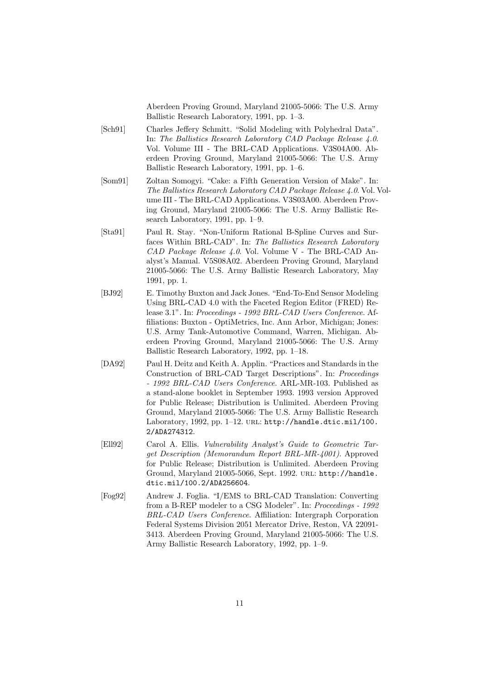Aberdeen Proving Ground, Maryland 21005-5066: The U.S. Army Ballistic Research Laboratory, 1991, pp. 1–3.

- [Sch91] Charles Jeffery Schmitt. "Solid Modeling with Polyhedral Data". In: The Ballistics Research Laboratory CAD Package Release 4.0. Vol. Volume III - The BRL-CAD Applications. V3S04A00. Aberdeen Proving Ground, Maryland 21005-5066: The U.S. Army Ballistic Research Laboratory, 1991, pp. 1–6.
- [Som91] Zoltan Somogyi. "Cake: a Fifth Generation Version of Make". In: The Ballistics Research Laboratory CAD Package Release 4.0. Vol. Volume III - The BRL-CAD Applications. V3S03A00. Aberdeen Proving Ground, Maryland 21005-5066: The U.S. Army Ballistic Research Laboratory, 1991, pp. 1–9.
- [Sta91] Paul R. Stay. "Non-Uniform Rational B-Spline Curves and Surfaces Within BRL-CAD". In: The Ballistics Research Laboratory CAD Package Release 4.0. Vol. Volume V - The BRL-CAD Analyst's Manual. V5S08A02. Aberdeen Proving Ground, Maryland 21005-5066: The U.S. Army Ballistic Research Laboratory, May 1991, pp. 1.
- [BJ92] E. Timothy Buxton and Jack Jones. "End-To-End Sensor Modeling Using BRL-CAD 4.0 with the Faceted Region Editor (FRED) Release 3.1". In: Proceedings - 1992 BRL-CAD Users Conference. Affiliations: Buxton - OptiMetrics, Inc. Ann Arbor, Michigan; Jones: U.S. Army Tank-Automotive Command, Warren, Michigan. Aberdeen Proving Ground, Maryland 21005-5066: The U.S. Army Ballistic Research Laboratory, 1992, pp. 1–18.
- [DA92] Paul H. Deitz and Keith A. Applin. "Practices and Standards in the Construction of BRL-CAD Target Descriptions". In: Proceedings - 1992 BRL-CAD Users Conference. ARL-MR-103. Published as a stand-alone booklet in September 1993. 1993 version Approved for Public Release; Distribution is Unlimited. Aberdeen Proving Ground, Maryland 21005-5066: The U.S. Army Ballistic Research Laboratory, 1992, pp. 1-12. URL: http://handle.dtic.mil/100. 2/ADA274312.
- [Ell92] Carol A. Ellis. Vulnerability Analyst's Guide to Geometric Target Description (Memorandum Report BRL-MR-4001). Approved for Public Release; Distribution is Unlimited. Aberdeen Proving Ground, Maryland 21005-5066, Sept. 1992. url: http://handle. dtic.mil/100.2/ADA256604.
- [Fog92] Andrew J. Foglia. "I/EMS to BRL-CAD Translation: Converting from a B-REP modeler to a CSG Modeler". In:  $Proceedings$  -  $199\bar{2}$ BRL-CAD Users Conference. Affiliation: Intergraph Corporation Federal Systems Division 2051 Mercator Drive, Reston, VA 22091- 3413. Aberdeen Proving Ground, Maryland 21005-5066: The U.S. Army Ballistic Research Laboratory, 1992, pp. 1–9.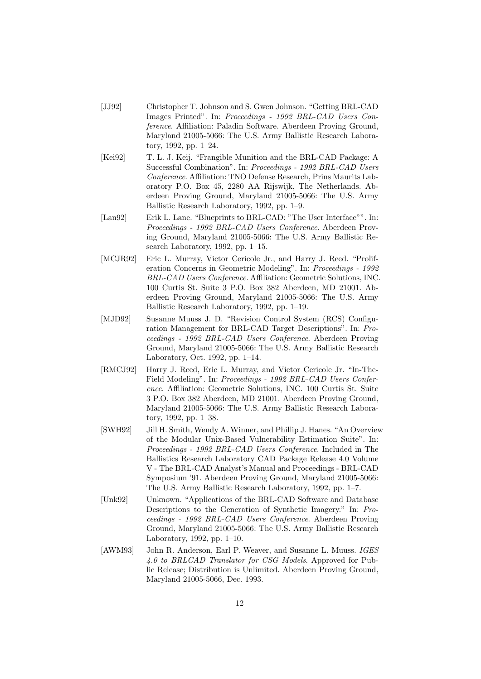- [JJ92] Christopher T. Johnson and S. Gwen Johnson. "Getting BRL-CAD Images Printed". In: Proceedings - 1992 BRL-CAD Users Conference. Affiliation: Paladin Software. Aberdeen Proving Ground, Maryland 21005-5066: The U.S. Army Ballistic Research Laboratory, 1992, pp. 1–24.
- [Kei92] T. L. J. Keij. "Frangible Munition and the BRL-CAD Package: A Successful Combination". In: Proceedings - 1992 BRL-CAD Users Conference. Affiliation: TNO Defense Research, Prins Maurits Laboratory P.O. Box 45, 2280 AA Rijswijk, The Netherlands. Aberdeen Proving Ground, Maryland 21005-5066: The U.S. Army Ballistic Research Laboratory, 1992, pp. 1–9.
- [Lan92] Erik L. Lane. "Blueprints to BRL-CAD: "The User Interface"". In: Proceedings - 1992 BRL-CAD Users Conference. Aberdeen Proving Ground, Maryland 21005-5066: The U.S. Army Ballistic Research Laboratory, 1992, pp. 1–15.
- [MCJR92] Eric L. Murray, Victor Cericole Jr., and Harry J. Reed. "Proliferation Concerns in Geometric Modeling". In: Proceedings - 1992 BRL-CAD Users Conference. Affiliation: Geometric Solutions, INC. 100 Curtis St. Suite 3 P.O. Box 382 Aberdeen, MD 21001. Aberdeen Proving Ground, Maryland 21005-5066: The U.S. Army Ballistic Research Laboratory, 1992, pp. 1–19.
- [MJD92] Susanne Muuss J. D. "Revision Control System (RCS) Configuration Management for BRL-CAD Target Descriptions". In: Proceedings - 1992 BRL-CAD Users Conference. Aberdeen Proving Ground, Maryland 21005-5066: The U.S. Army Ballistic Research Laboratory, Oct. 1992, pp. 1–14.
- [RMCJ92] Harry J. Reed, Eric L. Murray, and Victor Cericole Jr. "In-The-Field Modeling". In: Proceedings - 1992 BRL-CAD Users Conference. Affiliation: Geometric Solutions, INC. 100 Curtis St. Suite 3 P.O. Box 382 Aberdeen, MD 21001. Aberdeen Proving Ground, Maryland 21005-5066: The U.S. Army Ballistic Research Laboratory, 1992, pp. 1–38.
- [SWH92] Jill H. Smith, Wendy A. Winner, and Phillip J. Hanes. "An Overview of the Modular Unix-Based Vulnerability Estimation Suite". In: Proceedings - 1992 BRL-CAD Users Conference. Included in The Ballistics Research Laboratory CAD Package Release 4.0 Volume V - The BRL-CAD Analyst's Manual and Proceedings - BRL-CAD Symposium '91. Aberdeen Proving Ground, Maryland 21005-5066: The U.S. Army Ballistic Research Laboratory, 1992, pp. 1–7.
- [Unk92] Unknown. "Applications of the BRL-CAD Software and Database Descriptions to the Generation of Synthetic Imagery." In: Proceedings - 1992 BRL-CAD Users Conference. Aberdeen Proving Ground, Maryland 21005-5066: The U.S. Army Ballistic Research Laboratory, 1992, pp. 1–10.
- [AWM93] John R. Anderson, Earl P. Weaver, and Susanne L. Muuss. IGES 4.0 to BRLCAD Translator for CSG Models. Approved for Public Release; Distribution is Unlimited. Aberdeen Proving Ground, Maryland 21005-5066, Dec. 1993.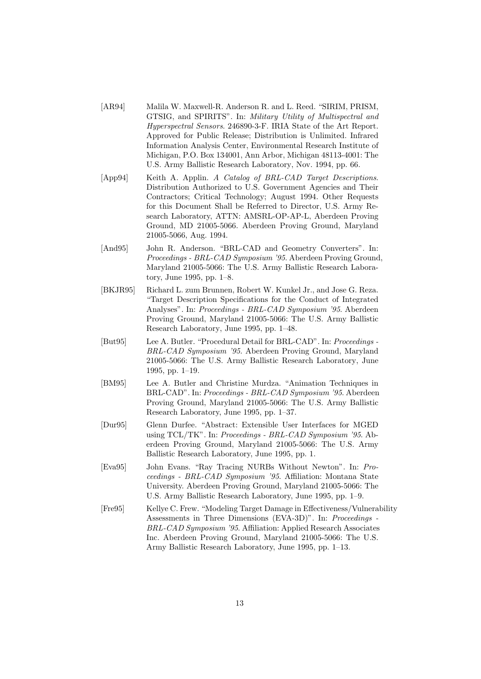- [AR94] Malila W. Maxwell-R. Anderson R. and L. Reed. "SIRIM, PRISM, GTSIG, and SPIRITS". In: Military Utility of Multispectral and Hyperspectral Sensors. 246890-3-F. IRIA State of the Art Report. Approved for Public Release; Distribution is Unlimited. Infrared Information Analysis Center, Environmental Research Institute of Michigan, P.O. Box 134001, Ann Arbor, Michigan 48113-4001: The U.S. Army Ballistic Research Laboratory, Nov. 1994, pp. 66.
- [App94] Keith A. Applin. A Catalog of BRL-CAD Target Descriptions. Distribution Authorized to U.S. Government Agencies and Their Contractors; Critical Technology; August 1994. Other Requests for this Document Shall be Referred to Director, U.S. Army Research Laboratory, ATTN: AMSRL-OP-AP-L, Aberdeen Proving Ground, MD 21005-5066. Aberdeen Proving Ground, Maryland 21005-5066, Aug. 1994.
- [And95] John R. Anderson. "BRL-CAD and Geometry Converters". In: Proceedings - BRL-CAD Symposium '95. Aberdeen Proving Ground, Maryland 21005-5066: The U.S. Army Ballistic Research Laboratory, June 1995, pp. 1–8.
- [BKJR95] Richard L. zum Brunnen, Robert W. Kunkel Jr., and Jose G. Reza. "Target Description Specifications for the Conduct of Integrated Analyses". In: Proceedings - BRL-CAD Symposium '95. Aberdeen Proving Ground, Maryland 21005-5066: The U.S. Army Ballistic Research Laboratory, June 1995, pp. 1–48.
- [But95] Lee A. Butler. "Procedural Detail for BRL-CAD". In: Proceedings BRL-CAD Symposium '95. Aberdeen Proving Ground, Maryland 21005-5066: The U.S. Army Ballistic Research Laboratory, June 1995, pp. 1–19.
- [BM95] Lee A. Butler and Christine Murdza. "Animation Techniques in BRL-CAD". In: Proceedings - BRL-CAD Symposium '95. Aberdeen Proving Ground, Maryland 21005-5066: The U.S. Army Ballistic Research Laboratory, June 1995, pp. 1–37.
- [Dur95] Glenn Durfee. "Abstract: Extensible User Interfaces for MGED using TCL/TK". In: Proceedings - BRL-CAD Symposium '95. Aberdeen Proving Ground, Maryland 21005-5066: The U.S. Army Ballistic Research Laboratory, June 1995, pp. 1.
- [Eva95] John Evans. "Ray Tracing NURBs Without Newton". In: Proceedings - BRL-CAD Symposium '95. Affiliation: Montana State University. Aberdeen Proving Ground, Maryland 21005-5066: The U.S. Army Ballistic Research Laboratory, June 1995, pp. 1–9.
- [Fre95] Kellye C. Frew. "Modeling Target Damage in Effectiveness/Vulnerability Assessments in Three Dimensions (EVA-3D)". In: Proceedings - BRL-CAD Symposium '95. Affiliation: Applied Research Associates Inc. Aberdeen Proving Ground, Maryland 21005-5066: The U.S. Army Ballistic Research Laboratory, June 1995, pp. 1–13.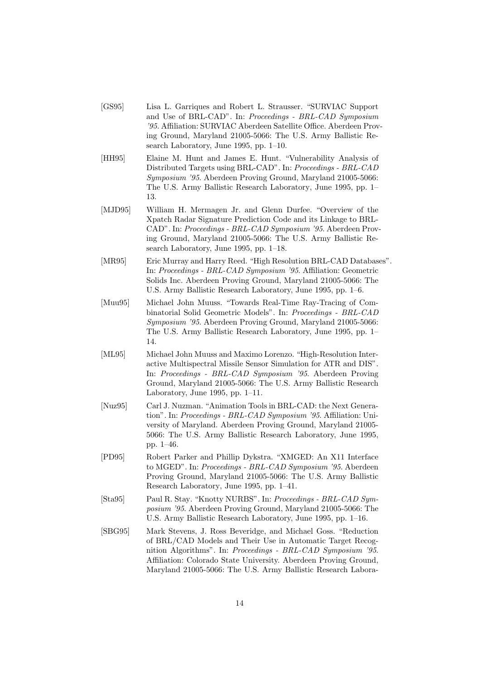- [GS95] Lisa L. Garriques and Robert L. Strausser. "SURVIAC Support and Use of BRL-CAD". In: Proceedings - BRL-CAD Symposium '95. Affiliation: SURVIAC Aberdeen Satellite Office. Aberdeen Proving Ground, Maryland 21005-5066: The U.S. Army Ballistic Research Laboratory, June 1995, pp. 1–10.
- [HH95] Elaine M. Hunt and James E. Hunt. "Vulnerability Analysis of Distributed Targets using BRL-CAD". In: Proceedings - BRL-CAD Symposium '95. Aberdeen Proving Ground, Maryland 21005-5066: The U.S. Army Ballistic Research Laboratory, June 1995, pp. 1– 13.
- [MJD95] William H. Mermagen Jr. and Glenn Durfee. "Overview of the Xpatch Radar Signature Prediction Code and its Linkage to BRL-CAD". In: Proceedings - BRL-CAD Symposium '95. Aberdeen Proving Ground, Maryland 21005-5066: The U.S. Army Ballistic Research Laboratory, June 1995, pp. 1–18.
- [MR95] Eric Murray and Harry Reed. "High Resolution BRL-CAD Databases". In: Proceedings - BRL-CAD Symposium '95. Affiliation: Geometric Solids Inc. Aberdeen Proving Ground, Maryland 21005-5066: The U.S. Army Ballistic Research Laboratory, June 1995, pp. 1–6.
- [Muu95] Michael John Muuss. "Towards Real-Time Ray-Tracing of Combinatorial Solid Geometric Models". In: Proceedings - BRL-CAD Symposium '95. Aberdeen Proving Ground, Maryland 21005-5066: The U.S. Army Ballistic Research Laboratory, June 1995, pp. 1– 14.
- [ML95] Michael John Muuss and Maximo Lorenzo. "High-Resolution Interactive Multispectral Missile Sensor Simulation for ATR and DIS". In: Proceedings - BRL-CAD Symposium '95. Aberdeen Proving Ground, Maryland 21005-5066: The U.S. Army Ballistic Research Laboratory, June 1995, pp. 1–11.
- [Nuz95] Carl J. Nuzman. "Animation Tools in BRL-CAD: the Next Generation". In: Proceedings - BRL-CAD Symposium '95. Affiliation: University of Maryland. Aberdeen Proving Ground, Maryland 21005- 5066: The U.S. Army Ballistic Research Laboratory, June 1995, pp. 1–46.
- [PD95] Robert Parker and Phillip Dykstra. "XMGED: An X11 Interface to MGED". In: Proceedings - BRL-CAD Symposium '95. Aberdeen Proving Ground, Maryland 21005-5066: The U.S. Army Ballistic Research Laboratory, June 1995, pp. 1–41.
- [Sta95] Paul R. Stay. "Knotty NURBS". In: Proceedings BRL-CAD Symposium '95. Aberdeen Proving Ground, Maryland 21005-5066: The U.S. Army Ballistic Research Laboratory, June 1995, pp. 1–16.
- [SBG95] Mark Stevens, J. Ross Beveridge, and Michael Goss. "Reduction of BRL/CAD Models and Their Use in Automatic Target Recognition Algorithms". In: Proceedings - BRL-CAD Symposium '95. Affiliation: Colorado State University. Aberdeen Proving Ground, Maryland 21005-5066: The U.S. Army Ballistic Research Labora-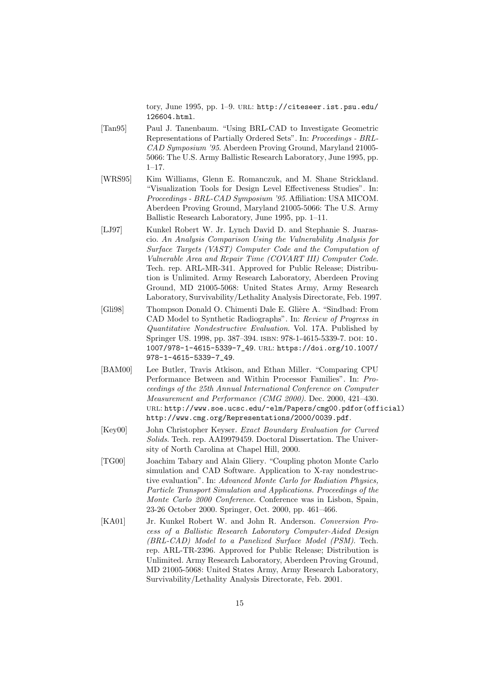tory, June 1995, pp. 1-9. URL: http://citeseer.ist.psu.edu/ 126604.html.

- [Tan95] Paul J. Tanenbaum. "Using BRL-CAD to Investigate Geometric Representations of Partially Ordered Sets". In: Proceedings - BRL-CAD Symposium '95. Aberdeen Proving Ground, Maryland 21005- 5066: The U.S. Army Ballistic Research Laboratory, June 1995, pp. 1–17.
- [WRS95] Kim Williams, Glenn E. Romanczuk, and M. Shane Strickland. "Visualization Tools for Design Level Effectiveness Studies". In: Proceedings - BRL-CAD Symposium '95. Affiliation: USA MICOM. Aberdeen Proving Ground, Maryland 21005-5066: The U.S. Army Ballistic Research Laboratory, June 1995, pp. 1–11.
- [LJ97] Kunkel Robert W. Jr. Lynch David D. and Stephanie S. Juarascio. An Analysis Comparison Using the Vulnerability Analysis for Surface Targets (VAST) Computer Code and the Computation of Vulnerable Area and Repair Time (COVART III) Computer Code. Tech. rep. ARL-MR-341. Approved for Public Release; Distribution is Unlimited. Army Research Laboratory, Aberdeen Proving Ground, MD 21005-5068: United States Army, Army Research Laboratory, Survivability/Lethality Analysis Directorate, Feb. 1997.
- [Gli98] Thompson Donald O. Chimenti Dale E. Glière A. "Sindbad: From CAD Model to Synthetic Radiographs". In: Review of Progress in Quantitative Nondestructive Evaluation. Vol. 17A. Published by Springer US. 1998, pp. 387-394. ISBN: 978-1-4615-5339-7. DOI: 10. 1007/978-1-4615-5339-7\_49. url: https://doi.org/10.1007/ 978-1-4615-5339-7\_49.
- [BAM00] Lee Butler, Travis Atkison, and Ethan Miller. "Comparing CPU Performance Between and Within Processor Families". In: Proceedings of the 25th Annual International Conference on Computer Measurement and Performance (CMG 2000). Dec. 2000, 421–430. url: http://www.soe.ucsc.edu/~elm/Papers/cmg00.pdfor(official) http://www.cmg.org/Representations/2000/0039.pdf.
- [Key00] John Christopher Keyser. Exact Boundary Evaluation for Curved Solids. Tech. rep. AAI9979459. Doctoral Dissertation. The University of North Carolina at Chapel Hill, 2000.
- [TG00] Joachim Tabary and Alain Gliery. "Coupling photon Monte Carlo simulation and CAD Software. Application to X-ray nondestructive evaluation". In: Advanced Monte Carlo for Radiation Physics, Particle Transport Simulation and Applications. Proceedings of the Monte Carlo 2000 Conference. Conference was in Lisbon, Spain, 23-26 October 2000. Springer, Oct. 2000, pp. 461–466.
- [KA01] Jr. Kunkel Robert W. and John R. Anderson. Conversion Process of a Ballistic Research Laboratory Computer-Aided Design (BRL-CAD) Model to a Panelized Surface Model (PSM). Tech. rep. ARL-TR-2396. Approved for Public Release; Distribution is Unlimited. Army Research Laboratory, Aberdeen Proving Ground, MD 21005-5068: United States Army, Army Research Laboratory, Survivability/Lethality Analysis Directorate, Feb. 2001.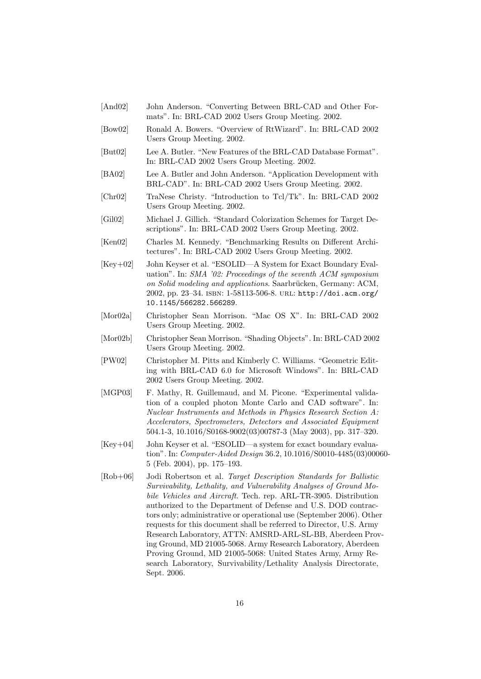- [And02] John Anderson. "Converting Between BRL-CAD and Other Formats". In: BRL-CAD 2002 Users Group Meeting. 2002.
- [Bow02] Ronald A. Bowers. "Overview of RtWizard". In: BRL-CAD 2002 Users Group Meeting. 2002.
- [But02] Lee A. Butler. "New Features of the BRL-CAD Database Format". In: BRL-CAD 2002 Users Group Meeting. 2002.
- [BA02] Lee A. Butler and John Anderson. "Application Development with BRL-CAD". In: BRL-CAD 2002 Users Group Meeting. 2002.
- [Chr02] TraNese Christy. "Introduction to Tcl/Tk". In: BRL-CAD 2002 Users Group Meeting. 2002.
- [Gil02] Michael J. Gillich. "Standard Colorization Schemes for Target Descriptions". In: BRL-CAD 2002 Users Group Meeting. 2002.
- [Ken02] Charles M. Kennedy. "Benchmarking Results on Different Architectures". In: BRL-CAD 2002 Users Group Meeting. 2002.
- [Key+02] John Keyser et al. "ESOLID—A System for Exact Boundary Evaluation". In: SMA '02: Proceedings of the seventh ACM symposium on Solid modeling and applications. Saarbrücken, Germany: ACM, 2002, pp. 23–34. isbn: 1-58113-506-8. url: http://doi.acm.org/ 10.1145/566282.566289.
- [Mor02a] Christopher Sean Morrison. "Mac OS X". In: BRL-CAD 2002 Users Group Meeting. 2002.
- [Mor02b] Christopher Sean Morrison. "Shading Objects". In: BRL-CAD 2002 Users Group Meeting. 2002.
- [PW02] Christopher M. Pitts and Kimberly C. Williams. "Geometric Editing with BRL-CAD 6.0 for Microsoft Windows". In: BRL-CAD 2002 Users Group Meeting. 2002.
- [MGP03] F. Mathy, R. Guillemaud, and M. Picone. "Experimental validation of a coupled photon Monte Carlo and CAD software". In: Nuclear Instruments and Methods in Physics Research Section A: Accelerators, Spectrometers, Detectors and Associated Equipment 504.1-3, 10.1016/S0168-9002(03)00787-3 (May 2003), pp. 317–320.
- [Key+04] John Keyser et al. "ESOLID—a system for exact boundary evaluation". In: Computer-Aided Design 36.2, 10.1016/S0010-4485(03)00060- 5 (Feb. 2004), pp. 175–193.
- [Rob+06] Jodi Robertson et al. Target Description Standards for Ballistic Survivability, Lethality, and Vulnerability Analyses of Ground Mobile Vehicles and Aircraft. Tech. rep. ARL-TR-3905. Distribution authorized to the Department of Defense and U.S. DOD contractors only; administrative or operational use (September 2006). Other requests for this document shall be referred to Director, U.S. Army Research Laboratory, ATTN: AMSRD-ARL-SL-BB, Aberdeen Proving Ground, MD 21005-5068. Army Research Laboratory, Aberdeen Proving Ground, MD 21005-5068: United States Army, Army Research Laboratory, Survivability/Lethality Analysis Directorate, Sept. 2006.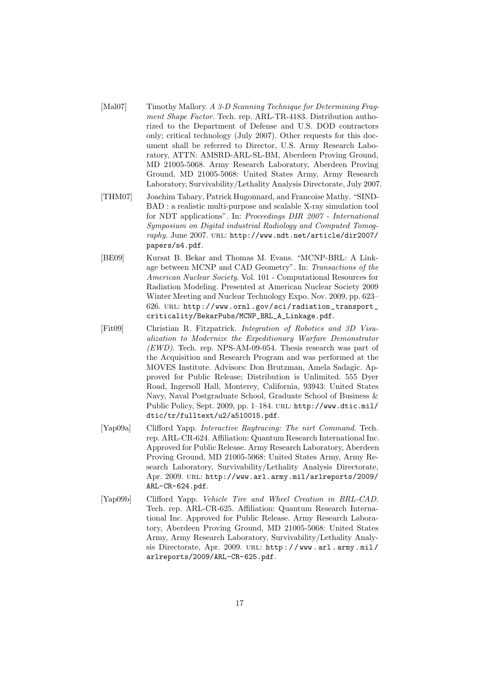- [Mal07] Timothy Mallory. A 3-D Scanning Technique for Determining Fragment Shape Factor. Tech. rep. ARL-TR-4183. Distribution authorized to the Department of Defense and U.S. DOD contractors only; critical technology (July 2007). Other requests for this document shall be referred to Director, U.S. Army Research Laboratory, ATTN: AMSRD-ARL-SL-BM, Aberdeen Proving Ground, MD 21005-5068. Army Research Laboratory, Aberdeen Proving Ground, MD 21005-5068: United States Army, Army Research Laboratory, Survivability/Lethality Analysis Directorate, July 2007.
- [THM07] Joachim Tabary, Patrick Hugonnard, and Francoise Mathy. "SIND-BAD : a realistic multi-purpose and scalable X-ray simulation tool for NDT applications". In: Proceedings DIR 2007 - International Symposium on Digital industrial Radiology and Computed Tomography. June 2007. URL: http://www.ndt.net/article/dir2007/ papers/s4.pdf.
- [BE09] Kursat B. Bekar and Thomas M. Evans. "MCNP-BRL: A Linkage between MCNP and CAD Geometry". In: Transactions of the American Nuclear Society. Vol. 101 - Computational Resources for Radiation Modeling. Presented at American Nuclear Society 2009 Winter Meeting and Nuclear Technology Expo. Nov. 2009, pp. 623– 626. url: http://www.ornl.gov/sci/radiation\_transport\_ criticality/BekarPubs/MCNP\_BRL\_A\_Linkage.pdf.
- [Fit09] Christian R. Fitzpatrick. Integration of Robotics and 3D Visualization to Modernize the Expeditionary Warfare Demonstrator (EWD). Tech. rep. NPS-AM-09-054. Thesis research was part of the Acquisition and Research Program and was performed at the MOVES Institute. Advisors: Don Brutzman, Amela Sadagic. Approved for Public Release; Distribution is Unlimited. 555 Dyer Road, Ingersoll Hall, Monterey, California, 93943: United States Navy, Naval Postgraduate School, Graduate School of Business & Public Policy, Sept. 2009, pp. 1–184. url: http://www.dtic.mil/ dtic/tr/fulltext/u2/a510015.pdf.
- [Yap09a] Clifford Yapp. Interactive Raytracing: The nirt Command. Tech. rep. ARL-CR-624. Affiliation: Quantum Research International Inc. Approved for Public Release. Army Research Laboratory, Aberdeen Proving Ground, MD 21005-5068: United States Army, Army Research Laboratory, Survivability/Lethality Analysis Directorate, Apr. 2009. url: http://www.arl.army.mil/arlreports/2009/ ARL-CR-624.pdf.
- [Yap09b] Clifford Yapp. Vehicle Tire and Wheel Creation in BRL-CAD. Tech. rep. ARL-CR-625. Affiliation: Quantum Research International Inc. Approved for Public Release. Army Research Laboratory, Aberdeen Proving Ground, MD 21005-5068: United States Army, Army Research Laboratory, Survivability/Lethality Analysis Directorate, Apr. 2009. URL: http://www.arl.army.mil/ arlreports/2009/ARL-CR-625.pdf.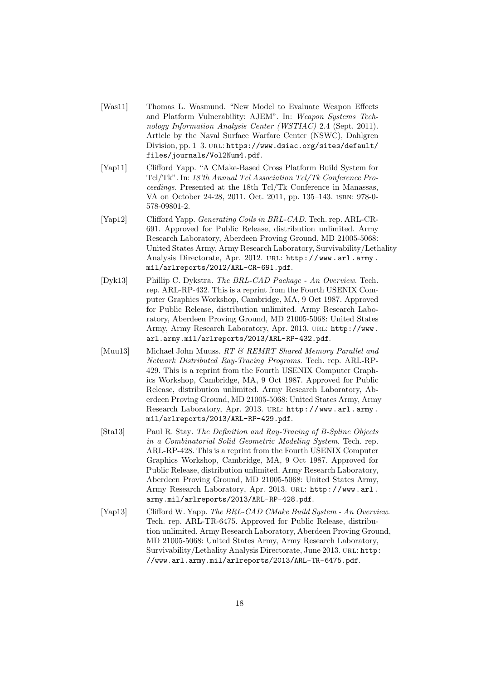- [Was11] Thomas L. Wasmund. "New Model to Evaluate Weapon Effects and Platform Vulnerability: AJEM". In: Weapon Systems Technology Information Analysis Center (WSTIAC) 2.4 (Sept. 2011). Article by the Naval Surface Warfare Center (NSWC), Dahlgren Division, pp. 1-3. URL: https://www.dsiac.org/sites/default/ files/journals/Vol2Num4.pdf.
- [Yap11] Clifford Yapp. "A CMake-Based Cross Platform Build System for Tcl/Tk". In: 18'th Annual Tcl Association Tcl/Tk Conference Proceedings. Presented at the 18th Tcl/Tk Conference in Manassas, VA on October 24-28, 2011. Oct. 2011, pp. 135–143. isbn: 978-0- 578-09801-2.
- [Yap12] Clifford Yapp. Generating Coils in BRL-CAD. Tech. rep. ARL-CR-691. Approved for Public Release, distribution unlimited. Army Research Laboratory, Aberdeen Proving Ground, MD 21005-5068: United States Army, Army Research Laboratory, Survivability/Lethality Analysis Directorate, Apr. 2012. URL: http://www.arl.army. mil/arlreports/2012/ARL-CR-691.pdf.
- [Dyk13] Phillip C. Dykstra. The BRL-CAD Package An Overview. Tech. rep. ARL-RP-432. This is a reprint from the Fourth USENIX Computer Graphics Workshop, Cambridge, MA, 9 Oct 1987. Approved for Public Release, distribution unlimited. Army Research Laboratory, Aberdeen Proving Ground, MD 21005-5068: United States Army, Army Research Laboratory, Apr. 2013. url: http://www. arl.army.mil/arlreports/2013/ARL-RP-432.pdf.
- [Muu13] Michael John Muuss. RT & REMRT Shared Memory Parallel and Network Distributed Ray-Tracing Programs. Tech. rep. ARL-RP-429. This is a reprint from the Fourth USENIX Computer Graphics Workshop, Cambridge, MA, 9 Oct 1987. Approved for Public Release, distribution unlimited. Army Research Laboratory, Aberdeen Proving Ground, MD 21005-5068: United States Army, Army Research Laboratory, Apr. 2013. URL: http://www.arl.army. mil/arlreports/2013/ARL-RP-429.pdf.
- [Sta13] Paul R. Stay. The Definition and Ray-Tracing of B-Spline Objects in a Combinatorial Solid Geometric Modeling System. Tech. rep. ARL-RP-428. This is a reprint from the Fourth USENIX Computer Graphics Workshop, Cambridge, MA, 9 Oct 1987. Approved for Public Release, distribution unlimited. Army Research Laboratory, Aberdeen Proving Ground, MD 21005-5068: United States Army, Army Research Laboratory, Apr. 2013. URL: http://www.arl. army.mil/arlreports/2013/ARL-RP-428.pdf.
- [Yap13] Clifford W. Yapp. The BRL-CAD CMake Build System An Overview. Tech. rep. ARL-TR-6475. Approved for Public Release, distribution unlimited. Army Research Laboratory, Aberdeen Proving Ground, MD 21005-5068: United States Army, Army Research Laboratory, Survivability/Lethality Analysis Directorate, June 2013. URL: http: //www.arl.army.mil/arlreports/2013/ARL-TR-6475.pdf.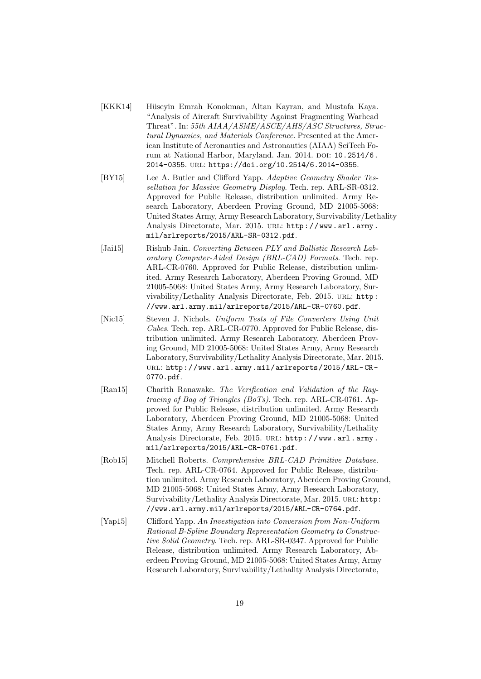- [KKK14] Hüseyin Emrah Konokman, Altan Kayran, and Mustafa Kaya. "Analysis of Aircraft Survivability Against Fragmenting Warhead Threat". In: 55th AIAA/ASME/ASCE/AHS/ASC Structures, Structural Dynamics, and Materials Conference. Presented at the American Institute of Aeronautics and Astronautics (AIAA) SciTech Forum at National Harbor, Maryland. Jan. 2014. DOI: 10.2514/6. 2014-0355. url: https://doi.org/10.2514/6.2014-0355.
- [BY15] Lee A. Butler and Clifford Yapp. Adaptive Geometry Shader Tessellation for Massive Geometry Display. Tech. rep. ARL-SR-0312. Approved for Public Release, distribution unlimited. Army Research Laboratory, Aberdeen Proving Ground, MD 21005-5068: United States Army, Army Research Laboratory, Survivability/Lethality Analysis Directorate, Mar. 2015. URL: http://www.arl.army. mil/arlreports/2015/ARL-SR-0312.pdf.
- [Jai15] Rishub Jain. Converting Between PLY and Ballistic Research Laboratory Computer-Aided Design (BRL-CAD) Formats. Tech. rep. ARL-CR-0760. Approved for Public Release, distribution unlimited. Army Research Laboratory, Aberdeen Proving Ground, MD 21005-5068: United States Army, Army Research Laboratory, Survivability/Lethality Analysis Directorate, Feb. 2015. URL: http: //www.arl.army.mil/arlreports/2015/ARL-CR-0760.pdf.
- [Nic15] Steven J. Nichols. Uniform Tests of File Converters Using Unit Cubes. Tech. rep. ARL-CR-0770. Approved for Public Release, distribution unlimited. Army Research Laboratory, Aberdeen Proving Ground, MD 21005-5068: United States Army, Army Research Laboratory, Survivability/Lethality Analysis Directorate, Mar. 2015. url: http://www.arl.army.mil/arlreports/2015/ARL- CR-0770.pdf.
- [Ran15] Charith Ranawake. The Verification and Validation of the Raytracing of Bag of Triangles (BoTs). Tech. rep. ARL-CR-0761. Approved for Public Release, distribution unlimited. Army Research Laboratory, Aberdeen Proving Ground, MD 21005-5068: United States Army, Army Research Laboratory, Survivability/Lethality Analysis Directorate, Feb. 2015. URL: http://www.arl.army. mil/arlreports/2015/ARL-CR-0761.pdf.
- [Rob15] Mitchell Roberts. Comprehensive BRL-CAD Primitive Database. Tech. rep. ARL-CR-0764. Approved for Public Release, distribution unlimited. Army Research Laboratory, Aberdeen Proving Ground, MD 21005-5068: United States Army, Army Research Laboratory, Survivability/Lethality Analysis Directorate, Mar. 2015. URL: http: //www.arl.army.mil/arlreports/2015/ARL-CR-0764.pdf.
- [Yap15] Clifford Yapp. An Investigation into Conversion from Non-Uniform Rational B-Spline Boundary Representation Geometry to Constructive Solid Geometry. Tech. rep. ARL-SR-0347. Approved for Public Release, distribution unlimited. Army Research Laboratory, Aberdeen Proving Ground, MD 21005-5068: United States Army, Army Research Laboratory, Survivability/Lethality Analysis Directorate,